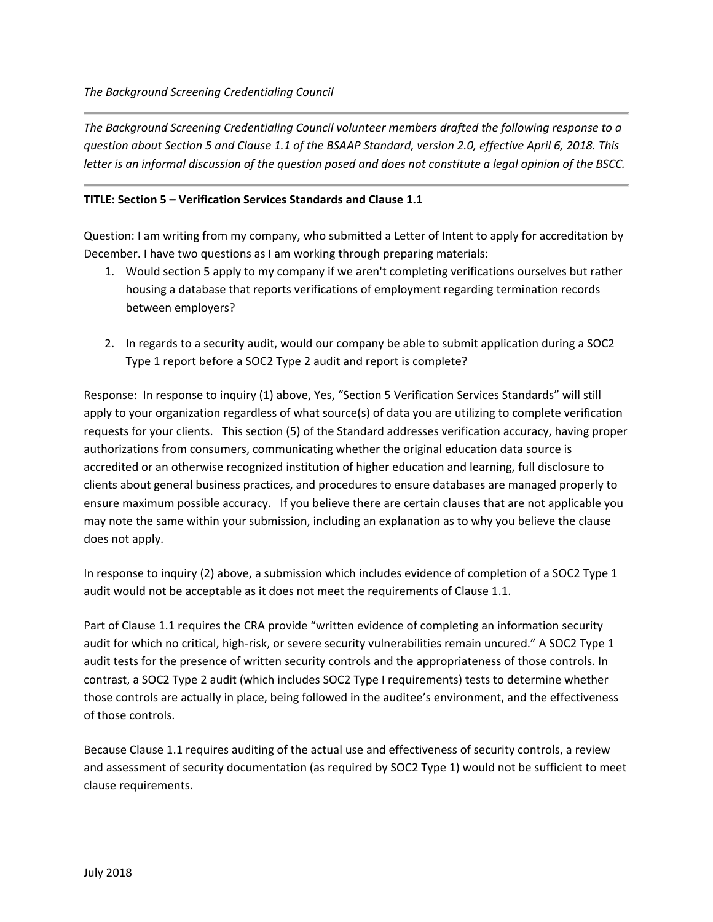*The Background Screening Credentialing Council volunteer members drafted the following response to a question about Section 5 and Clause 1.1 of the BSAAP Standard, version 2.0, effective April 6, 2018. This letter is an informal discussion of the question posed and does not constitute a legal opinion of the BSCC.*

## **TITLE: Section 5 – Verification Services Standards and Clause 1.1**

Question: I am writing from my company, who submitted a Letter of Intent to apply for accreditation by December. I have two questions as I am working through preparing materials:

- 1. Would section 5 apply to my company if we aren't completing verifications ourselves but rather housing a database that reports verifications of employment regarding termination records between employers?
- 2. In regards to a security audit, would our company be able to submit application during a SOC2 Type 1 report before a SOC2 Type 2 audit and report is complete?

Response: In response to inquiry (1) above, Yes, "Section 5 Verification Services Standards" will still apply to your organization regardless of what source(s) of data you are utilizing to complete verification requests for your clients. This section (5) of the Standard addresses verification accuracy, having proper authorizations from consumers, communicating whether the original education data source is accredited or an otherwise recognized institution of higher education and learning, full disclosure to clients about general business practices, and procedures to ensure databases are managed properly to ensure maximum possible accuracy. If you believe there are certain clauses that are not applicable you may note the same within your submission, including an explanation as to why you believe the clause does not apply.

In response to inquiry (2) above, a submission which includes evidence of completion of a SOC2 Type 1 audit would not be acceptable as it does not meet the requirements of Clause 1.1.

Part of Clause 1.1 requires the CRA provide "written evidence of completing an information security audit for which no critical, high-risk, or severe security vulnerabilities remain uncured." A SOC2 Type 1 audit tests for the presence of written security controls and the appropriateness of those controls. In contrast, a SOC2 Type 2 audit (which includes SOC2 Type I requirements) tests to determine whether those controls are actually in place, being followed in the auditee's environment, and the effectiveness of those controls.

Because Clause 1.1 requires auditing of the actual use and effectiveness of security controls, a review and assessment of security documentation (as required by SOC2 Type 1) would not be sufficient to meet clause requirements.